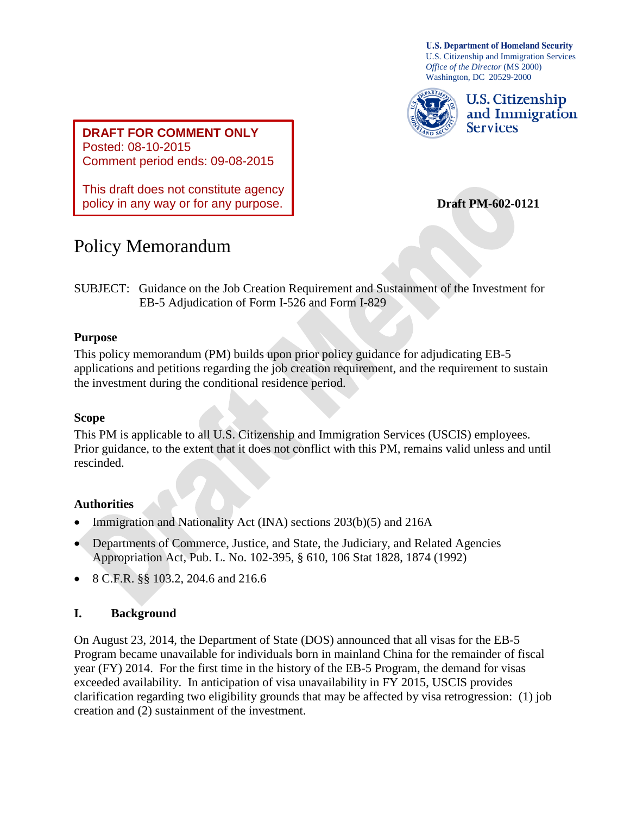**U.S. Department of Homeland Security** U.S. Citizenship and Immigration Services *Office of the Director* (MS 2000) Washington, DC 20529-2000



U.S. Citizenship and Immigration **Services** 

**DRAFT FOR COMMENT ONLY** Posted: 08-10-2015 Comment period ends: 09-08-2015

This draft does not constitute agency policy in any way or for any purpose.

 **Draft PM-602-0121**

# Policy Memorandum

SUBJECT: Guidance on the Job Creation Requirement and Sustainment of the Investment for EB-5 Adjudication of Form I-526 and Form I-829

## **Purpose**

This policy memorandum (PM) builds upon prior policy guidance for adjudicating EB-5 applications and petitions regarding the job creation requirement, and the requirement to sustain the investment during the conditional residence period.

# **Scope**

This PM is applicable to all U.S. Citizenship and Immigration Services (USCIS) employees. Prior guidance, to the extent that it does not conflict with this PM, remains valid unless and until rescinded.

# **Authorities**

- Immigration and Nationality Act (INA) sections 203(b)(5) and 216A
- Departments of Commerce, Justice, and State, the Judiciary, and Related Agencies Appropriation Act, Pub. L. No. 102-395, § 610, 106 Stat 1828, 1874 (1992)
- 8 C.F.R. §§ 103.2, 204.6 and 216.6

# **I. Background**

On August 23, 2014, the Department of State (DOS) announced that all visas for the EB-5 Program became unavailable for individuals born in mainland China for the remainder of fiscal year (FY) 2014. For the first time in the history of the EB-5 Program, the demand for visas exceeded availability. In anticipation of visa unavailability in FY 2015, USCIS provides clarification regarding two eligibility grounds that may be affected by visa retrogression: (1) job creation and (2) sustainment of the investment.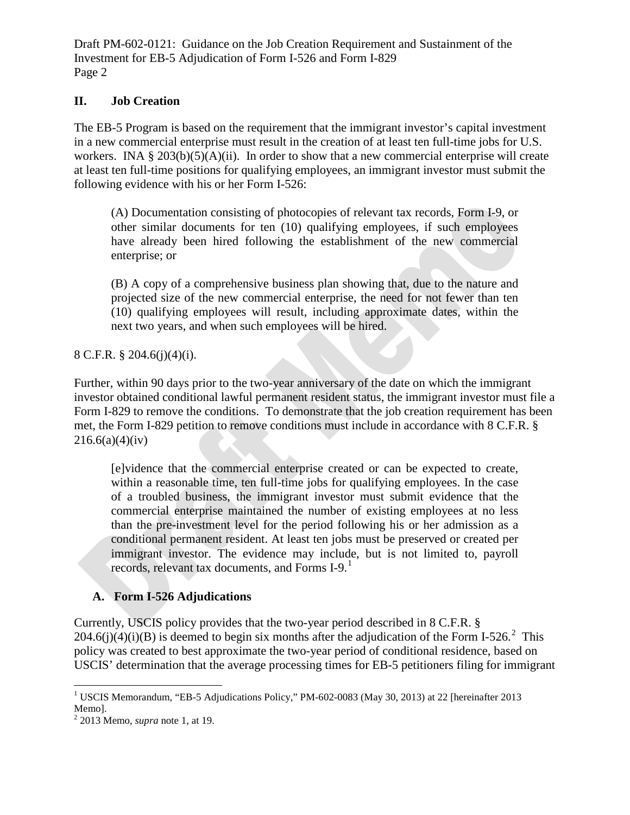## **II. Job Creation**

The EB-5 Program is based on the requirement that the immigrant investor's capital investment in a new commercial enterprise must result in the creation of at least ten full-time jobs for U.S. workers. INA §  $203(b)(5)(A)(ii)$ . In order to show that a new commercial enterprise will create at least ten full-time positions for qualifying employees, an immigrant investor must submit the following evidence with his or her Form I-526:

(A) Documentation consisting of photocopies of relevant tax records, Form I-9, or other similar documents for ten (10) qualifying employees, if such employees have already been hired following the establishment of the new commercial enterprise; or

(B) A copy of a comprehensive business plan showing that, due to the nature and projected size of the new commercial enterprise, the need for not fewer than ten (10) qualifying employees will result, including approximate dates, within the next two years, and when such employees will be hired.

8 C.F.R. § 204.6(j)(4)(i).

Further, within 90 days prior to the two-year anniversary of the date on which the immigrant investor obtained conditional lawful permanent resident status, the immigrant investor must file a Form I-829 to remove the conditions. To demonstrate that the job creation requirement has been met, the Form I-829 petition to remove conditions must include in accordance with 8 C.F.R. §  $216.6(a)(4)(iv)$ 

[e]vidence that the commercial enterprise created or can be expected to create, within a reasonable time, ten full-time jobs for qualifying employees. In the case of a troubled business, the immigrant investor must submit evidence that the commercial enterprise maintained the number of existing employees at no less than the pre-investment level for the period following his or her admission as a conditional permanent resident. At least ten jobs must be preserved or created per immigrant investor. The evidence may include, but is not limited to, payroll records, relevant tax documents, and Forms I-9. [1](#page-1-0)

# **A. Form I-526 Adjudications**

Currently, USCIS policy provides that the two-year period described in 8 C.F.R. § [2](#page-1-1)04.6(j)(4)(i)(B) is deemed to begin six months after the adjudication of the Form I-526.<sup>2</sup> This policy was created to best approximate the two-year period of conditional residence, based on USCIS' determination that the average processing times for EB-5 petitioners filing for immigrant

<span id="page-1-0"></span><sup>&</sup>lt;sup>1</sup> USCIS Memorandum, "EB-5 Adjudications Policy," PM-602-0083 (May 30, 2013) at 22 [hereinafter 2013 Memo]. <sup>2</sup> 2013 Memo, *supra* note 1, at 19.

<span id="page-1-1"></span>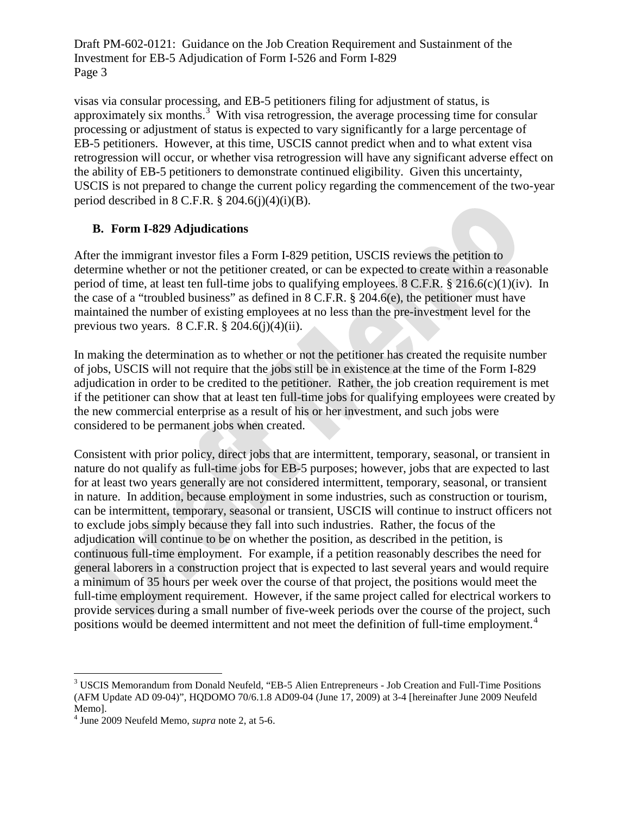visas via consular processing, and EB-5 petitioners filing for adjustment of status, is approximately six months. $3$  With visa retrogression, the average processing time for consular processing or adjustment of status is expected to vary significantly for a large percentage of EB-5 petitioners. However, at this time, USCIS cannot predict when and to what extent visa retrogression will occur, or whether visa retrogression will have any significant adverse effect on the ability of EB-5 petitioners to demonstrate continued eligibility. Given this uncertainty, USCIS is not prepared to change the current policy regarding the commencement of the two-year period described in  $8$  C.F.R.  $\frac{8}{204.6(i)(4)(i)(B)}$ .

## **B. Form I-829 Adjudications**

After the immigrant investor files a Form I-829 petition, USCIS reviews the petition to determine whether or not the petitioner created, or can be expected to create within a reasonable period of time, at least ten full-time jobs to qualifying employees. 8 C.F.R. § 216.6(c)(1)(iv). In the case of a "troubled business" as defined in 8 C.F.R. § 204.6(e), the petitioner must have maintained the number of existing employees at no less than the pre-investment level for the previous two years.  $8 \text{ C.F.R.}$   $\frac{8}{9}$  204.6(j)(4)(ii).

In making the determination as to whether or not the petitioner has created the requisite number of jobs, USCIS will not require that the jobs still be in existence at the time of the Form I-829 adjudication in order to be credited to the petitioner. Rather, the job creation requirement is met if the petitioner can show that at least ten full-time jobs for qualifying employees were created by the new commercial enterprise as a result of his or her investment, and such jobs were considered to be permanent jobs when created.

Consistent with prior policy, direct jobs that are intermittent, temporary, seasonal, or transient in nature do not qualify as full-time jobs for EB-5 purposes; however, jobs that are expected to last for at least two years generally are not considered intermittent, temporary, seasonal, or transient in nature. In addition, because employment in some industries, such as construction or tourism, can be intermittent, temporary, seasonal or transient, USCIS will continue to instruct officers not to exclude jobs simply because they fall into such industries. Rather, the focus of the adjudication will continue to be on whether the position, as described in the petition, is continuous full-time employment. For example, if a petition reasonably describes the need for general laborers in a construction project that is expected to last several years and would require a minimum of 35 hours per week over the course of that project, the positions would meet the full-time employment requirement. However, if the same project called for electrical workers to provide services during a small number of five-week periods over the course of the project, such positions would be deemed intermittent and not meet the definition of full-time employment.<sup>[4](#page-2-1)</sup>

<span id="page-2-0"></span><sup>&</sup>lt;sup>3</sup> USCIS Memorandum from Donald Neufeld, "EB-5 Alien Entrepreneurs - Job Creation and Full-Time Positions (AFM Update AD 09-04)", HQDOMO 70/6.1.8 AD09-04 (June 17, 2009) at 3-4 [hereinafter June 2009 Neufeld Memo].

<span id="page-2-1"></span><sup>4</sup> June 2009 Neufeld Memo, *supra* note 2, at 5-6.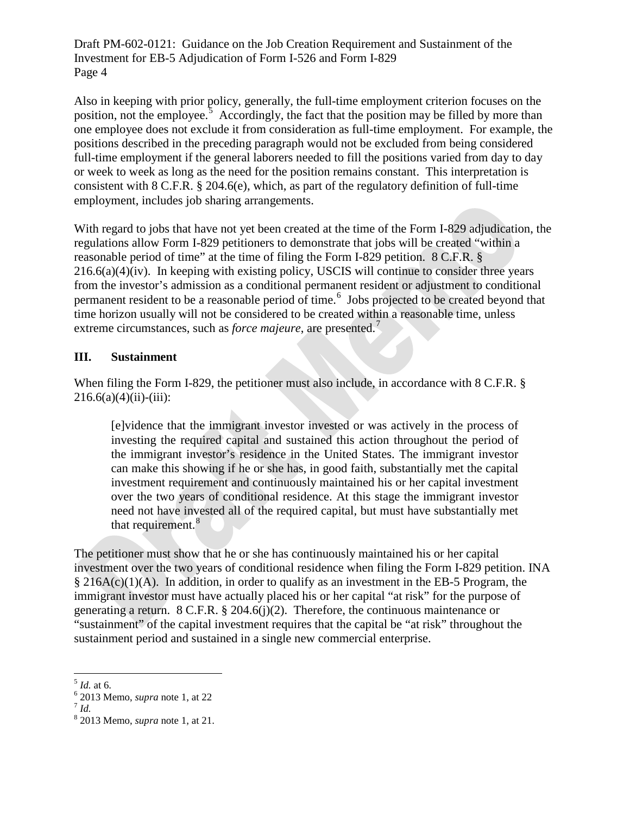Also in keeping with prior policy, generally, the full-time employment criterion focuses on the position, not the employee.<sup>[5](#page-3-0)</sup> Accordingly, the fact that the position may be filled by more than one employee does not exclude it from consideration as full-time employment. For example, the positions described in the preceding paragraph would not be excluded from being considered full-time employment if the general laborers needed to fill the positions varied from day to day or week to week as long as the need for the position remains constant. This interpretation is consistent with 8 C.F.R. § 204.6(e), which, as part of the regulatory definition of full-time employment, includes job sharing arrangements.

With regard to jobs that have not yet been created at the time of the Form I-829 adjudication, the regulations allow Form I-829 petitioners to demonstrate that jobs will be created "within a reasonable period of time" at the time of filing the Form I-829 petition. 8 C.F.R. §  $216.6(a)(4)(iv)$ . In keeping with existing policy, USCIS will continue to consider three years from the investor's admission as a conditional permanent resident or adjustment to conditional permanent resident to be a reasonable period of time.<sup>[6](#page-3-1)</sup> Jobs projected to be created beyond that time horizon usually will not be considered to be created within a reasonable time, unless extreme circumstances, such as *force majeure*, are presented.<sup>[7](#page-3-2)</sup>

#### **III. Sustainment**

When filing the Form I-829, the petitioner must also include, in accordance with 8 C.F.R. §  $216.6(a)(4)(ii)$ -(iii):

[e]vidence that the immigrant investor invested or was actively in the process of investing the required capital and sustained this action throughout the period of the immigrant investor's residence in the United States. The immigrant investor can make this showing if he or she has, in good faith, substantially met the capital investment requirement and continuously maintained his or her capital investment over the two years of conditional residence. At this stage the immigrant investor need not have invested all of the required capital, but must have substantially met that requirement.<sup>[8](#page-3-3)</sup>

The petitioner must show that he or she has continuously maintained his or her capital investment over the two years of conditional residence when filing the Form I-829 petition. INA § 216A(c)(1)(A). In addition, in order to qualify as an investment in the EB-5 Program, the immigrant investor must have actually placed his or her capital "at risk" for the purpose of generating a return. 8 C.F.R. § 204.6(j)(2). Therefore, the continuous maintenance or "sustainment" of the capital investment requires that the capital be "at risk" throughout the sustainment period and sustained in a single new commercial enterprise.

<span id="page-3-1"></span><span id="page-3-0"></span><sup>5</sup> *Id.* at 6. <sup>6</sup> 2013 Memo, *supra* note 1, at 22 <sup>7</sup> *Id.*

<span id="page-3-2"></span>

<span id="page-3-3"></span><sup>8</sup> 2013 Memo, *supra* note 1, at 21.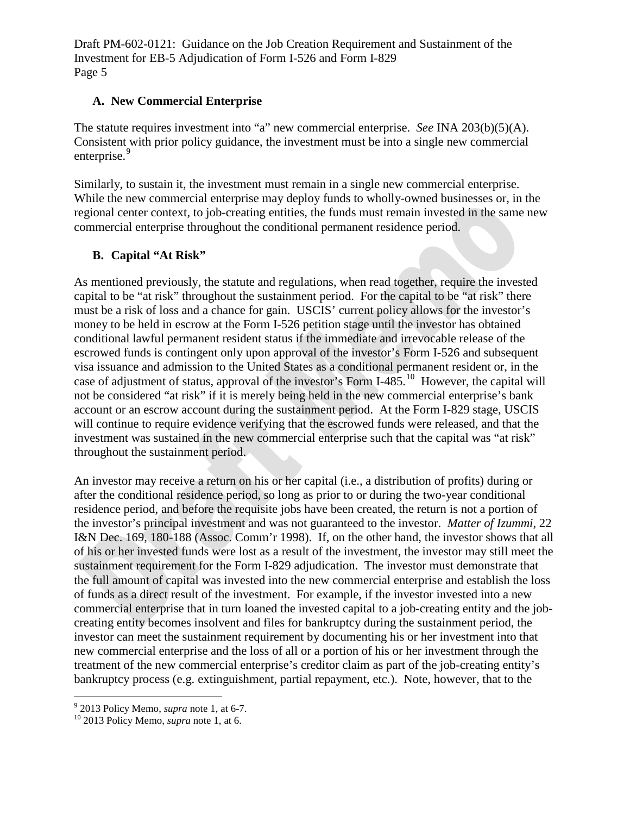## **A. New Commercial Enterprise**

The statute requires investment into "a" new commercial enterprise. *See* INA 203(b)(5)(A). Consistent with prior policy guidance, the investment must be into a single new commercial enterprise.<sup>[9](#page-4-0)</sup>

Similarly, to sustain it, the investment must remain in a single new commercial enterprise. While the new commercial enterprise may deploy funds to wholly-owned businesses or, in the regional center context, to job-creating entities, the funds must remain invested in the same new commercial enterprise throughout the conditional permanent residence period.

## **B. Capital "At Risk"**

As mentioned previously, the statute and regulations, when read together, require the invested capital to be "at risk" throughout the sustainment period. For the capital to be "at risk" there must be a risk of loss and a chance for gain. USCIS' current policy allows for the investor's money to be held in escrow at the Form I-526 petition stage until the investor has obtained conditional lawful permanent resident status if the immediate and irrevocable release of the escrowed funds is contingent only upon approval of the investor's Form I-526 and subsequent visa issuance and admission to the United States as a conditional permanent resident or, in the case of adjustment of status, approval of the investor's Form I-485.<sup>[10](#page-4-1)</sup> However, the capital will not be considered "at risk" if it is merely being held in the new commercial enterprise's bank account or an escrow account during the sustainment period. At the Form I-829 stage, USCIS will continue to require evidence verifying that the escrowed funds were released, and that the investment was sustained in the new commercial enterprise such that the capital was "at risk" throughout the sustainment period.

An investor may receive a return on his or her capital (i.e., a distribution of profits) during or after the conditional residence period, so long as prior to or during the two-year conditional residence period, and before the requisite jobs have been created, the return is not a portion of the investor's principal investment and was not guaranteed to the investor. *Matter of Izummi*, 22 I&N Dec. 169, 180-188 (Assoc. Comm'r 1998). If, on the other hand, the investor shows that all of his or her invested funds were lost as a result of the investment, the investor may still meet the sustainment requirement for the Form I-829 adjudication. The investor must demonstrate that the full amount of capital was invested into the new commercial enterprise and establish the loss of funds as a direct result of the investment. For example, if the investor invested into a new commercial enterprise that in turn loaned the invested capital to a job-creating entity and the jobcreating entity becomes insolvent and files for bankruptcy during the sustainment period, the investor can meet the sustainment requirement by documenting his or her investment into that new commercial enterprise and the loss of all or a portion of his or her investment through the treatment of the new commercial enterprise's creditor claim as part of the job-creating entity's bankruptcy process (e.g. extinguishment, partial repayment, etc.). Note, however, that to the

<span id="page-4-0"></span><sup>9</sup> 2013 Policy Memo, *supra* note 1, at 6-7. <sup>10</sup> 2013 Policy Memo, *supra* note 1, at 6.

<span id="page-4-1"></span>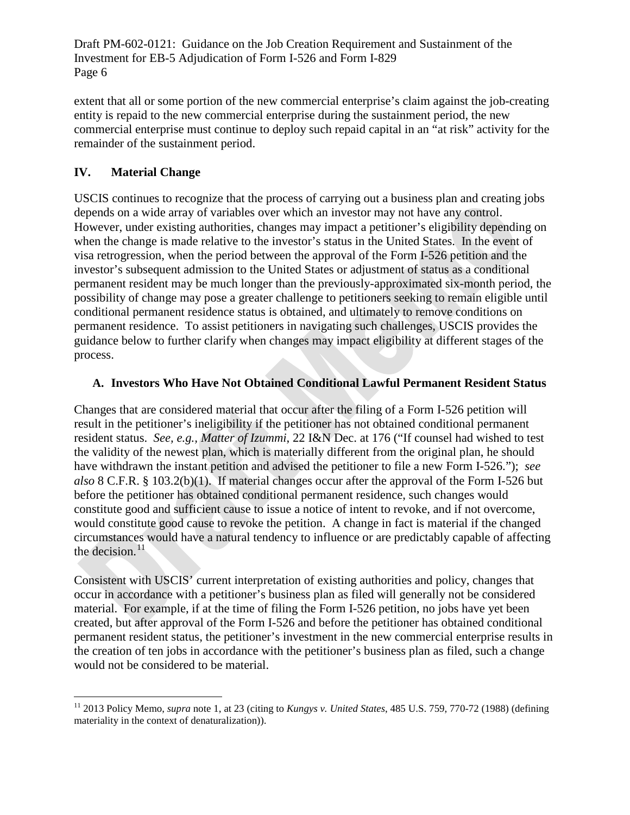extent that all or some portion of the new commercial enterprise's claim against the job-creating entity is repaid to the new commercial enterprise during the sustainment period, the new commercial enterprise must continue to deploy such repaid capital in an "at risk" activity for the remainder of the sustainment period.

# **IV. Material Change**

USCIS continues to recognize that the process of carrying out a business plan and creating jobs depends on a wide array of variables over which an investor may not have any control. However, under existing authorities, changes may impact a petitioner's eligibility depending on when the change is made relative to the investor's status in the United States. In the event of visa retrogression, when the period between the approval of the Form I-526 petition and the investor's subsequent admission to the United States or adjustment of status as a conditional permanent resident may be much longer than the previously-approximated six-month period, the possibility of change may pose a greater challenge to petitioners seeking to remain eligible until conditional permanent residence status is obtained, and ultimately to remove conditions on permanent residence. To assist petitioners in navigating such challenges, USCIS provides the guidance below to further clarify when changes may impact eligibility at different stages of the process.

# **A. Investors Who Have Not Obtained Conditional Lawful Permanent Resident Status**

Changes that are considered material that occur after the filing of a Form I-526 petition will result in the petitioner's ineligibility if the petitioner has not obtained conditional permanent resident status. *See, e.g., Matter of Izummi*, 22 I&N Dec. at 176 ("If counsel had wished to test the validity of the newest plan, which is materially different from the original plan, he should have withdrawn the instant petition and advised the petitioner to file a new Form I-526."); *see also* 8 C.F.R. § 103.2(b)(1). If material changes occur after the approval of the Form I-526 but before the petitioner has obtained conditional permanent residence, such changes would constitute good and sufficient cause to issue a notice of intent to revoke, and if not overcome, would constitute good cause to revoke the petition. A change in fact is material if the changed circumstances would have a natural tendency to influence or are predictably capable of affecting the decision. $^{11}$  $^{11}$  $^{11}$ 

Consistent with USCIS' current interpretation of existing authorities and policy, changes that occur in accordance with a petitioner's business plan as filed will generally not be considered material. For example, if at the time of filing the Form I-526 petition, no jobs have yet been created, but after approval of the Form I-526 and before the petitioner has obtained conditional permanent resident status, the petitioner's investment in the new commercial enterprise results in the creation of ten jobs in accordance with the petitioner's business plan as filed, such a change would not be considered to be material.

<span id="page-5-0"></span> <sup>11</sup> 2013 Policy Memo, *supra* note 1, at 23 (citing to *Kungys v. United States*, 485 U.S. 759, 770-72 (1988) (defining materiality in the context of denaturalization)).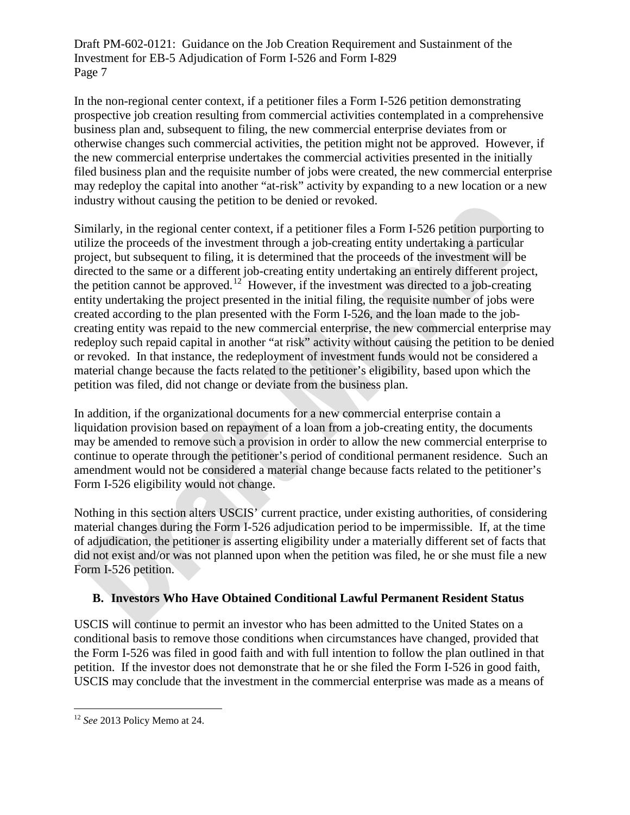In the non-regional center context, if a petitioner files a Form I-526 petition demonstrating prospective job creation resulting from commercial activities contemplated in a comprehensive business plan and, subsequent to filing, the new commercial enterprise deviates from or otherwise changes such commercial activities, the petition might not be approved. However, if the new commercial enterprise undertakes the commercial activities presented in the initially filed business plan and the requisite number of jobs were created, the new commercial enterprise may redeploy the capital into another "at-risk" activity by expanding to a new location or a new industry without causing the petition to be denied or revoked.

Similarly, in the regional center context, if a petitioner files a Form I-526 petition purporting to utilize the proceeds of the investment through a job-creating entity undertaking a particular project, but subsequent to filing, it is determined that the proceeds of the investment will be directed to the same or a different job-creating entity undertaking an entirely different project, the petition cannot be approved.<sup>12</sup> However, if the investment was directed to a job-creating entity undertaking the project presented in the initial filing, the requisite number of jobs were created according to the plan presented with the Form I-526, and the loan made to the jobcreating entity was repaid to the new commercial enterprise, the new commercial enterprise may redeploy such repaid capital in another "at risk" activity without causing the petition to be denied or revoked. In that instance, the redeployment of investment funds would not be considered a material change because the facts related to the petitioner's eligibility, based upon which the petition was filed, did not change or deviate from the business plan.

In addition, if the organizational documents for a new commercial enterprise contain a liquidation provision based on repayment of a loan from a job-creating entity, the documents may be amended to remove such a provision in order to allow the new commercial enterprise to continue to operate through the petitioner's period of conditional permanent residence. Such an amendment would not be considered a material change because facts related to the petitioner's Form I-526 eligibility would not change.

Nothing in this section alters USCIS' current practice, under existing authorities, of considering material changes during the Form I-526 adjudication period to be impermissible. If, at the time of adjudication, the petitioner is asserting eligibility under a materially different set of facts that did not exist and/or was not planned upon when the petition was filed, he or she must file a new Form I-526 petition.

#### **B. Investors Who Have Obtained Conditional Lawful Permanent Resident Status**

USCIS will continue to permit an investor who has been admitted to the United States on a conditional basis to remove those conditions when circumstances have changed, provided that the Form I-526 was filed in good faith and with full intention to follow the plan outlined in that petition. If the investor does not demonstrate that he or she filed the Form I-526 in good faith, USCIS may conclude that the investment in the commercial enterprise was made as a means of

<span id="page-6-0"></span> <sup>12</sup> *See* 2013 Policy Memo at 24.